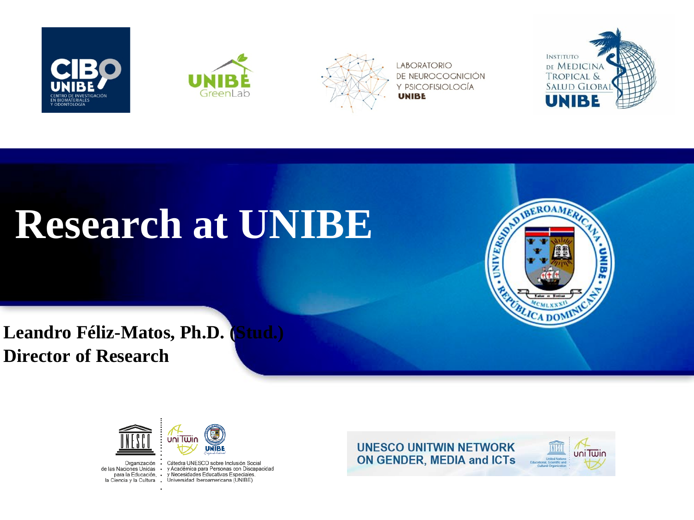





**LABORATORIO** DE NEUROCOGNICIÓN Y PSICOFISIOLOGÍA **UNIBE** 



# **Research at UNIBE**

**Leandro Féliz-Matos, Ph.D. (Stud.) Director of Research**





Organización · Cátedra UNESCO sobre Inclusión Social de las Naciones Unidas · y Académica para Personas con Discapacidad para la Educación, · y Necesidades Educativas Especiales. la Ciencia y la Cultura . Universidad Iberoamericana (UNIBE)



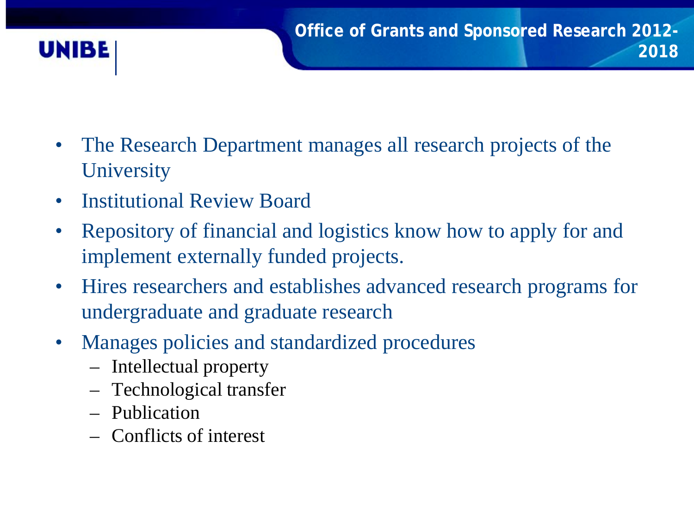

- The Research Department manages all research projects of the **University**
- Institutional Review Board
- Repository of financial and logistics know how to apply for and implement externally funded projects.
- Hires researchers and establishes advanced research programs for undergraduate and graduate research
- Manages policies and standardized procedures
	- Intellectual property
	- Technological transfer
	- Publication
	- Conflicts of interest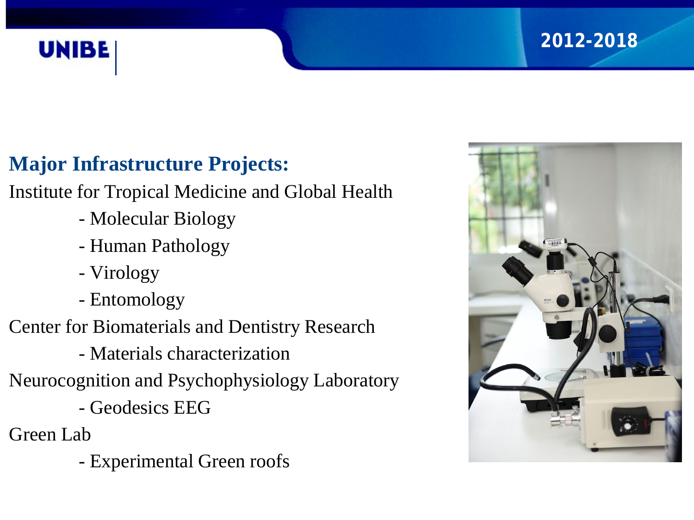

#### **2012-2018**

### **Major Infrastructure Projects:**

Institute for Tropical Medicine and Global Health

- Molecular Biology
- Human Pathology
- Virology
- Entomology
- Center for Biomaterials and Dentistry Research
	- Materials characterization
- Neurocognition and Psychophysiology Laboratory
	- Geodesics EEG
- Green Lab
	- Experimental Green roofs

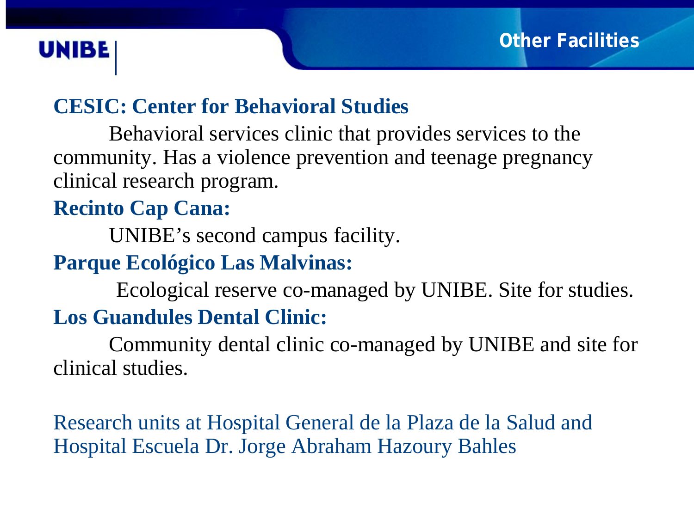## **UNIBE**

### **CESIC: Center for Behavioral Studies**

Behavioral services clinic that provides services to the community. Has a violence prevention and teenage pregnancy clinical research program.

#### **Recinto Cap Cana:**

UNIBE's second campus facility.

#### **Parque Ecológico Las Malvinas:**

Ecological reserve co-managed by UNIBE. Site for studies.

### **Los Guandules Dental Clinic:**

Community dental clinic co-managed by UNIBE and site for clinical studies.

Research units at Hospital General de la Plaza de la Salud and Hospital Escuela Dr. Jorge Abraham Hazoury Bahles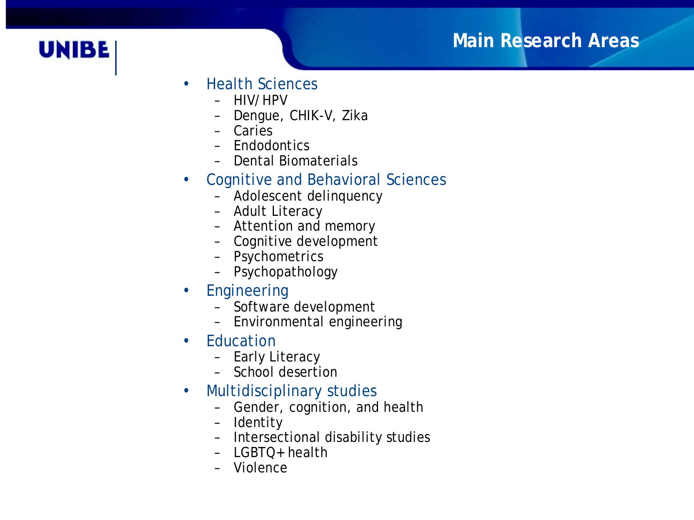#### **Main Research Areas**



- Health Sciences
	- HIV/HPV
	- Dengue, CHIK-V, Zika
	- Caries
	- Endodontics
	- Dental Biomaterials
- Cognitive and Behavioral Sciences
	- Adolescent delinquency
	- Adult Literacy
	- Attention and memory
	- Cognitive development
	- Psychometrics
	- Psychopathology
- Engineering
	- Software development
	- Environmental engineering
- **Education** 
	- Early Literacy
	- School desertion
- Multidisciplinary studies
	- Gender, cognition, and health
	- Identity
	- Intersectional disability studies
	- LGBTQ+ health
	- Violence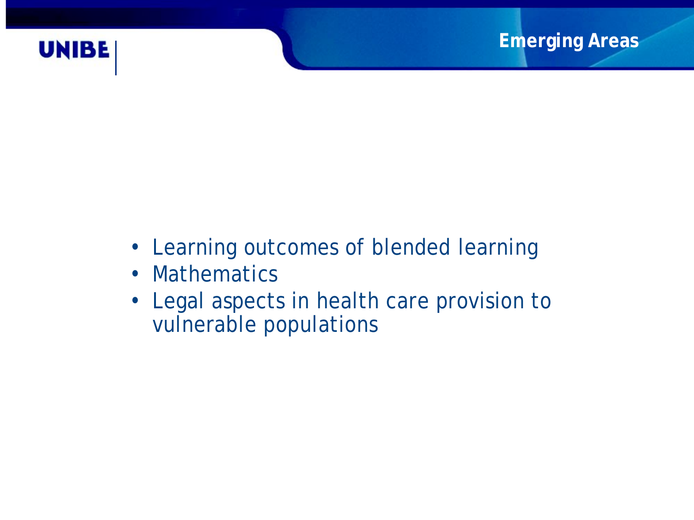

- Learning outcomes of blended learning
- Mathematics
- Legal aspects in health care provision to vulnerable populations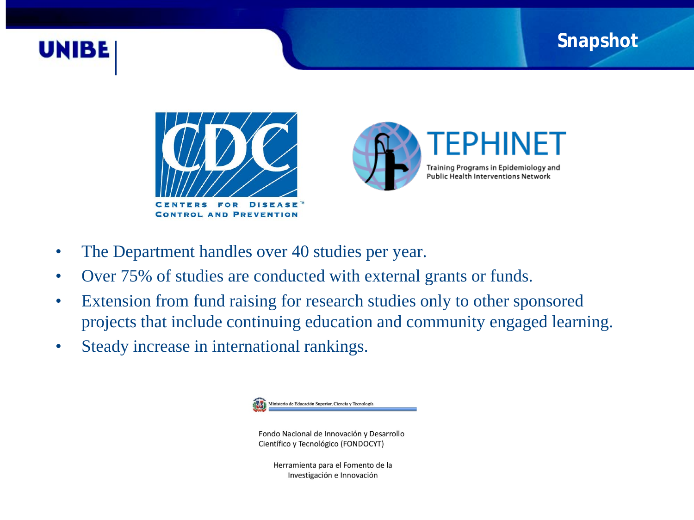#### **Snapshot**







- The Department handles over 40 studies per year.
- Over 75% of studies are conducted with external grants or funds.
- Extension from fund raising for research studies only to other sponsored projects that include continuing education and community engaged learning.
- Steady increase in international rankings.

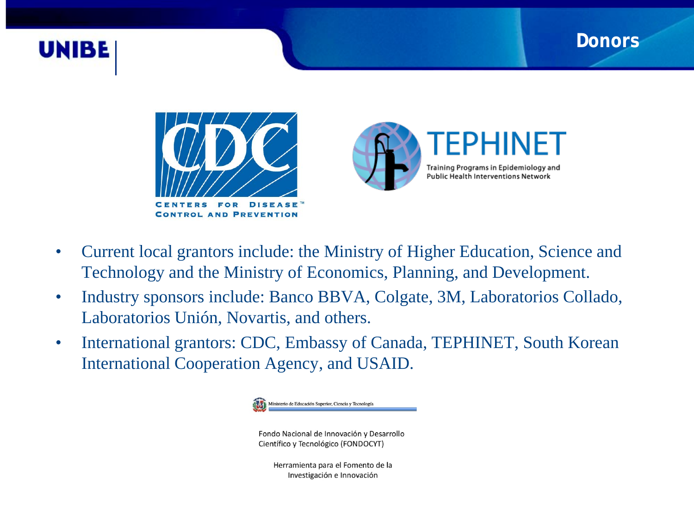#### **Donors**





**EPHINET** Training Programs in Epidemiology and **Public Health Interventions Network** 

- Current local grantors include: the Ministry of Higher Education, Science and Technology and the Ministry of Economics, Planning, and Development.
- Industry sponsors include: Banco BBVA, Colgate, 3M, Laboratorios Collado, Laboratorios Unión, Novartis, and others.
- International grantors: CDC, Embassy of Canada, TEPHINET, South Korean International Cooperation Agency, and USAID.

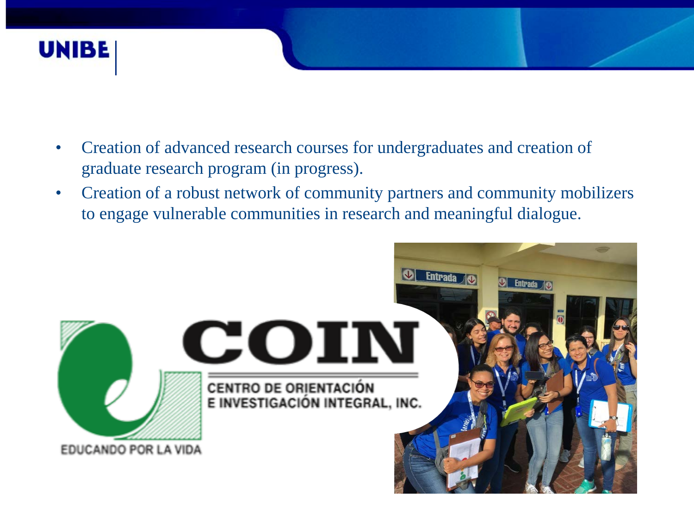

- Creation of advanced research courses for undergraduates and creation of graduate research program (in progress).
- Creation of a robust network of community partners and community mobilizers to engage vulnerable communities in research and meaningful dialogue.

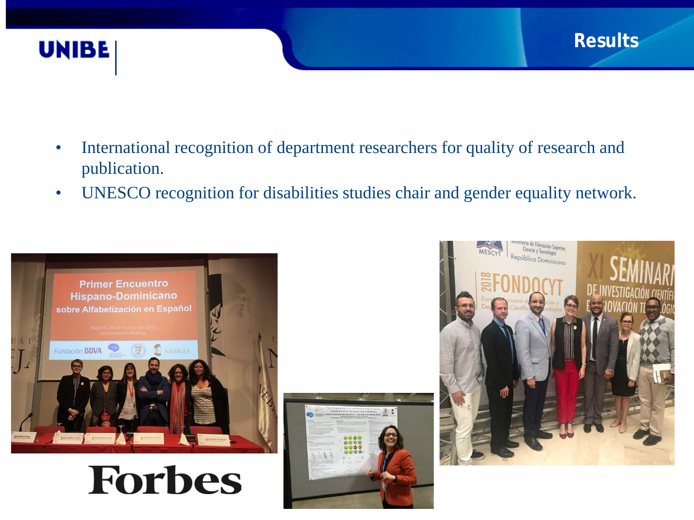

- International recognition of department researchers for quality of research and publication.
- UNESCO recognition for disabilities studies chair and gender equality network.